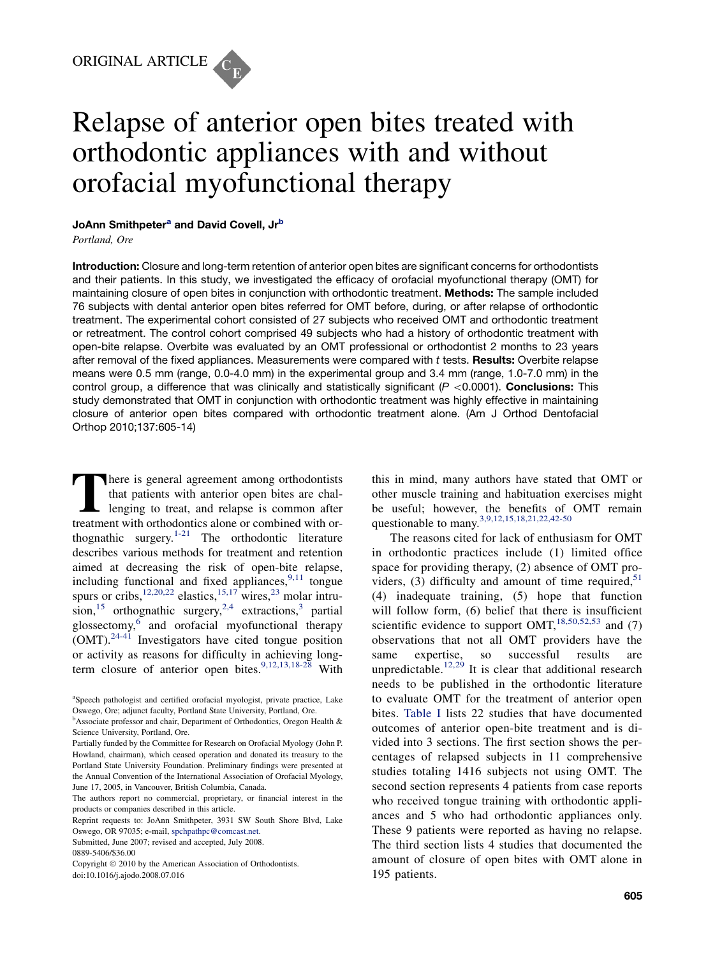

# Relapse of anterior open bites treated with orthodontic appliances with and without orofacial myofunctional therapy

JoAnn Smithpeter<sup>a</sup> and David Covell, Jrb

Portland, Ore

Introduction: Closure and long-term retention of anterior open bites are significant concerns for orthodontists and their patients. In this study, we investigated the efficacy of orofacial myofunctional therapy (OMT) for maintaining closure of open bites in conjunction with orthodontic treatment. Methods: The sample included 76 subjects with dental anterior open bites referred for OMT before, during, or after relapse of orthodontic treatment. The experimental cohort consisted of 27 subjects who received OMT and orthodontic treatment or retreatment. The control cohort comprised 49 subjects who had a history of orthodontic treatment with open-bite relapse. Overbite was evaluated by an OMT professional or orthodontist 2 months to 23 years after removal of the fixed appliances. Measurements were compared with *t* tests. Results: Overbite relapse means were 0.5 mm (range, 0.0-4.0 mm) in the experimental group and 3.4 mm (range, 1.0-7.0 mm) in the control group, a difference that was clinically and statistically significant (*P* <0.0001). Conclusions: This study demonstrated that OMT in conjunction with orthodontic treatment was highly effective in maintaining closure of anterior open bites compared with orthodontic treatment alone. (Am J Orthod Dentofacial Orthop 2010;137:605-14)

There is general agreement among orthodontists<br>that patients with anterior open bites are chal-<br>lenging to treat, and relapse is common after<br>treatment with orthodontics alone or combined with orthat patients with anterior open bites are chaltreatment with orthodontics alone or combined with orthognathic surgery. $1-21$  The orthodontic literature describes various methods for treatment and retention aimed at decreasing the risk of open-bite relapse, including functional and fixed appliances,<sup>[9,11](#page-8-0)</sup> tongue spurs or cribs,  $^{12,20,22}$  $^{12,20,22}$  $^{12,20,22}$  elastics,  $^{15,17}$  $^{15,17}$  $^{15,17}$  wires,  $^{23}$  $^{23}$  $^{23}$  molar intru- $\sinh^{15}$  $\sinh^{15}$  $\sinh^{15}$  orthognathic surgery,<sup>[2,4](#page-8-0)</sup> extractions,<sup>[3](#page-8-0)</sup> partial glossectomy,[6](#page-8-0) and orofacial myofunctional therapy  $(OMT)$ .<sup>[24-41](#page-9-0)</sup> Investigators have cited tongue position or activity as reasons for difficulty in achieving long-term closure of anterior open bites.<sup>[9,12,13,18-28](#page-8-0)</sup> With

this in mind, many authors have stated that OMT or other muscle training and habituation exercises might be useful; however, the benefits of OMT remain questionable to many.[3,9,12,15,18,21,22,42-50](#page-8-0)

The reasons cited for lack of enthusiasm for OMT in orthodontic practices include (1) limited office space for providing therapy, (2) absence of OMT providers, (3) difficulty and amount of time required,  $51$ (4) inadequate training, (5) hope that function will follow form, (6) belief that there is insufficient scientific evidence to support  $OMT$ ,<sup>[18,50,52,53](#page-8-0)</sup> and (7) observations that not all OMT providers have the same expertise, so successful results are unpredictable.<sup>[12,29](#page-8-0)</sup> It is clear that additional research needs to be published in the orthodontic literature to evaluate OMT for the treatment of anterior open bites. [Table I](#page-1-0) lists 22 studies that have documented outcomes of anterior open-bite treatment and is divided into 3 sections. The first section shows the percentages of relapsed subjects in 11 comprehensive studies totaling 1416 subjects not using OMT. The second section represents 4 patients from case reports who received tongue training with orthodontic appliances and 5 who had orthodontic appliances only. These 9 patients were reported as having no relapse. The third section lists 4 studies that documented the amount of closure of open bites with OMT alone in 195 patients.

<sup>&</sup>lt;sup>a</sup>Speech pathologist and certified orofacial myologist, private practice, Lake Oswego, Ore; adjunct faculty, Portland State University, Portland, Ore.

<sup>&</sup>lt;sup>b</sup>Associate professor and chair, Department of Orthodontics, Oregon Health & Science University, Portland, Ore.

Partially funded by the Committee for Research on Orofacial Myology (John P. Howland, chairman), which ceased operation and donated its treasury to the Portland State University Foundation. Preliminary findings were presented at the Annual Convention of the International Association of Orofacial Myology, June 17, 2005, in Vancouver, British Columbia, Canada.

The authors report no commercial, proprietary, or financial interest in the products or companies described in this article.

Reprint requests to: JoAnn Smithpeter, 3931 SW South Shore Blvd, Lake Oswego, OR 97035; e-mail, [spchpathpc@comcast.net.](mailto:spchpathpc@comcast.net)

Submitted, June 2007; revised and accepted, July 2008.

<sup>0889-5406/\$36.00</sup>

Copyright © 2010 by the American Association of Orthodontists. doi:10.1016/j.ajodo.2008.07.016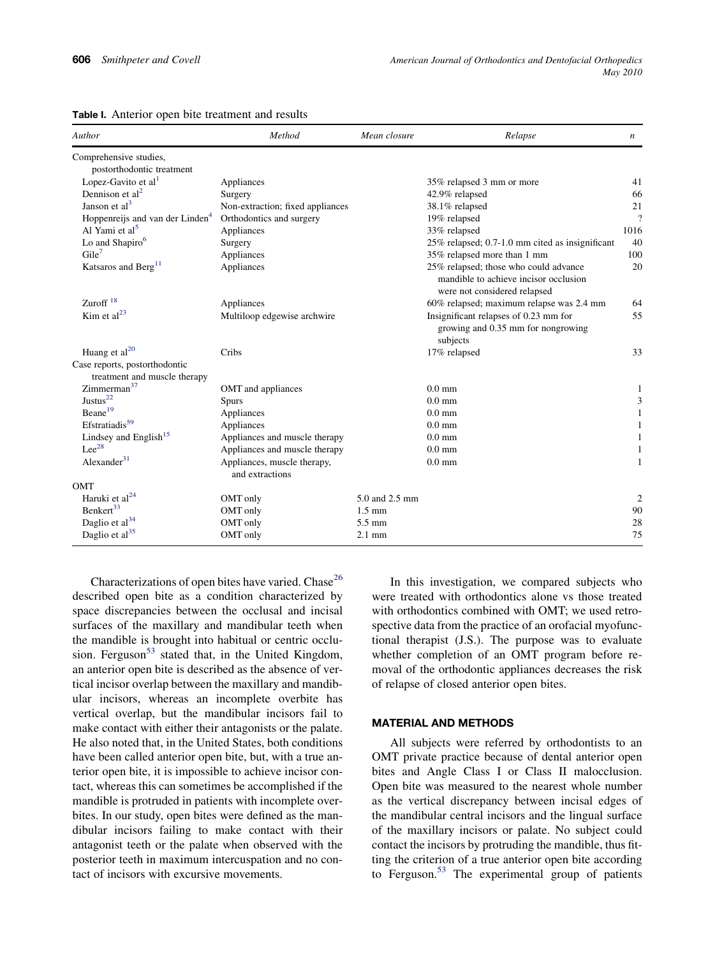| Author                                                        | Method                                         | Mean closure     | Relapse                                                                                                        | $\boldsymbol{n}$         |
|---------------------------------------------------------------|------------------------------------------------|------------------|----------------------------------------------------------------------------------------------------------------|--------------------------|
| Comprehensive studies,                                        |                                                |                  |                                                                                                                |                          |
| postorthodontic treatment                                     |                                                |                  |                                                                                                                |                          |
| Lopez-Gavito et al                                            | Appliances                                     |                  | 35% relapsed 3 mm or more                                                                                      | 41                       |
| Dennison et $al2$                                             | Surgery                                        |                  | 42.9% relapsed                                                                                                 | 66                       |
| Janson et $al3$                                               | Non-extraction; fixed appliances               |                  | 38.1% relapsed                                                                                                 | 21                       |
| Hoppenreijs and van der Linden <sup>4</sup>                   | Orthodontics and surgery                       |                  | 19% relapsed                                                                                                   | $\overline{\mathcal{L}}$ |
| Al Yami et al <sup>5</sup>                                    | Appliances                                     |                  | 33% relapsed                                                                                                   | 1016                     |
| Lo and Shapiro <sup>6</sup>                                   | Surgery                                        |                  | 25% relapsed; 0.7-1.0 mm cited as insignificant                                                                | 40                       |
| $\text{Gile}^7$                                               | Appliances                                     |                  | 35% relapsed more than 1 mm                                                                                    | 100                      |
| Katsaros and Berg <sup>11</sup>                               | Appliances                                     |                  | 25% relapsed; those who could advance<br>mandible to achieve incisor occlusion<br>were not considered relapsed | 20                       |
| Zuroff $18$                                                   | Appliances                                     |                  | 60% relapsed; maximum relapse was 2.4 mm                                                                       | 64                       |
| Kim et $al23$                                                 | Multiloop edgewise archwire                    |                  | Insignificant relapses of 0.23 mm for<br>growing and 0.35 mm for nongrowing<br>subjects                        | 55                       |
| Huang et $al20$                                               | Cribs                                          |                  | 17% relapsed                                                                                                   | 33                       |
| Case reports, postorthodontic<br>treatment and muscle therapy |                                                |                  |                                                                                                                |                          |
| Zimmerman <sup>37</sup>                                       | OMT and appliances                             |                  | $0.0 \text{ mm}$                                                                                               |                          |
| $\mathrm{Justus}^{22}$                                        | <b>Spurs</b>                                   |                  | $0.0$ mm                                                                                                       | 3                        |
| Beane <sup>19</sup>                                           | Appliances                                     |                  | $0.0$ mm                                                                                                       |                          |
| Efstratiadis <sup>59</sup>                                    | Appliances                                     |                  | $0.0 \text{ mm}$                                                                                               |                          |
| Lindsey and English <sup>15</sup>                             | Appliances and muscle therapy                  |                  | $0.0 \text{ mm}$                                                                                               |                          |
| $Lee^{28}$                                                    | Appliances and muscle therapy                  |                  | $0.0 \text{ mm}$                                                                                               |                          |
| Alexander $31$                                                | Appliances, muscle therapy,<br>and extractions |                  | $0.0 \text{ mm}$                                                                                               |                          |
| <b>OMT</b>                                                    |                                                |                  |                                                                                                                |                          |
| Haruki et al <sup>24</sup>                                    | OMT only                                       | 5.0 and 2.5 mm   |                                                                                                                | $\overline{2}$           |
| Benkert <sup>33</sup>                                         | OMT only                                       | $1.5 \text{ mm}$ |                                                                                                                | 90                       |
| Daglio et al $^{34}$                                          | OMT only                                       | $5.5 \text{ mm}$ |                                                                                                                | 28                       |
| Daglio et al <sup>35</sup>                                    | OMT only                                       | $2.1 \text{ mm}$ |                                                                                                                | 75                       |

## <span id="page-1-0"></span>Table I. Anterior open bite treatment and results

Characterizations of open bites have varied. Chase<sup>[26](#page-9-0)</sup> described open bite as a condition characterized by space discrepancies between the occlusal and incisal surfaces of the maxillary and mandibular teeth when the mandible is brought into habitual or centric occlusion. Ferguson $53$  stated that, in the United Kingdom, an anterior open bite is described as the absence of vertical incisor overlap between the maxillary and mandibular incisors, whereas an incomplete overbite has vertical overlap, but the mandibular incisors fail to make contact with either their antagonists or the palate. He also noted that, in the United States, both conditions have been called anterior open bite, but, with a true anterior open bite, it is impossible to achieve incisor contact, whereas this can sometimes be accomplished if the mandible is protruded in patients with incomplete overbites. In our study, open bites were defined as the mandibular incisors failing to make contact with their antagonist teeth or the palate when observed with the posterior teeth in maximum intercuspation and no contact of incisors with excursive movements.

In this investigation, we compared subjects who were treated with orthodontics alone vs those treated with orthodontics combined with OMT; we used retrospective data from the practice of an orofacial myofunctional therapist (J.S.). The purpose was to evaluate whether completion of an OMT program before removal of the orthodontic appliances decreases the risk of relapse of closed anterior open bites.

#### MATERIAL AND METHODS

All subjects were referred by orthodontists to an OMT private practice because of dental anterior open bites and Angle Class I or Class II malocclusion. Open bite was measured to the nearest whole number as the vertical discrepancy between incisal edges of the mandibular central incisors and the lingual surface of the maxillary incisors or palate. No subject could contact the incisors by protruding the mandible, thus fitting the criterion of a true anterior open bite according to Ferguson.<sup>[53](#page-9-0)</sup> The experimental group of patients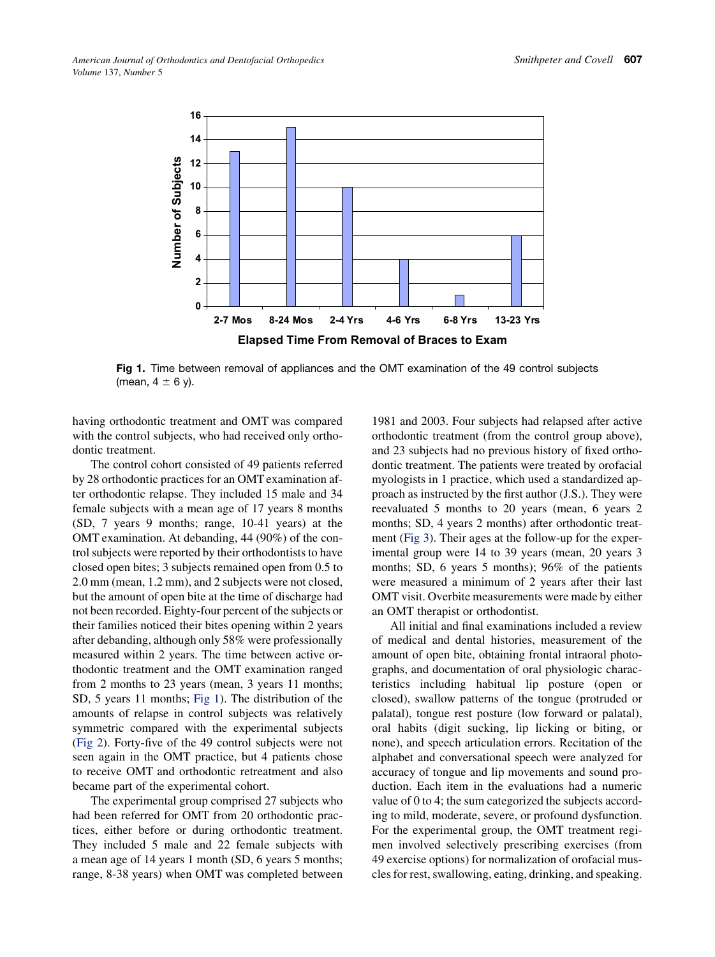<span id="page-2-0"></span>

Fig 1. Time between removal of appliances and the OMT examination of the 49 control subjects (mean,  $4 \pm 6$  y).

having orthodontic treatment and OMT was compared with the control subjects, who had received only orthodontic treatment.

The control cohort consisted of 49 patients referred by 28 orthodontic practices for an OMT examination after orthodontic relapse. They included 15 male and 34 female subjects with a mean age of 17 years 8 months (SD, 7 years 9 months; range, 10-41 years) at the OMT examination. At debanding, 44 (90%) of the control subjects were reported by their orthodontists to have closed open bites; 3 subjects remained open from 0.5 to 2.0 mm (mean, 1.2 mm), and 2 subjects were not closed, but the amount of open bite at the time of discharge had not been recorded. Eighty-four percent of the subjects or their families noticed their bites opening within 2 years after debanding, although only 58% were professionally measured within 2 years. The time between active orthodontic treatment and the OMT examination ranged from 2 months to 23 years (mean, 3 years 11 months; SD, 5 years 11 months; Fig 1). The distribution of the amounts of relapse in control subjects was relatively symmetric compared with the experimental subjects ([Fig 2](#page-3-0)). Forty-five of the 49 control subjects were not seen again in the OMT practice, but 4 patients chose to receive OMT and orthodontic retreatment and also became part of the experimental cohort.

The experimental group comprised 27 subjects who had been referred for OMT from 20 orthodontic practices, either before or during orthodontic treatment. They included 5 male and 22 female subjects with a mean age of 14 years 1 month (SD, 6 years 5 months; range, 8-38 years) when OMT was completed between 1981 and 2003. Four subjects had relapsed after active orthodontic treatment (from the control group above), and 23 subjects had no previous history of fixed orthodontic treatment. The patients were treated by orofacial myologists in 1 practice, which used a standardized approach as instructed by the first author (J.S.). They were reevaluated 5 months to 20 years (mean, 6 years 2 months; SD, 4 years 2 months) after orthodontic treatment [\(Fig 3](#page-3-0)). Their ages at the follow-up for the experimental group were 14 to 39 years (mean, 20 years 3 months; SD, 6 years 5 months); 96% of the patients were measured a minimum of 2 years after their last OMT visit. Overbite measurements were made by either an OMT therapist or orthodontist.

All initial and final examinations included a review of medical and dental histories, measurement of the amount of open bite, obtaining frontal intraoral photographs, and documentation of oral physiologic characteristics including habitual lip posture (open or closed), swallow patterns of the tongue (protruded or palatal), tongue rest posture (low forward or palatal), oral habits (digit sucking, lip licking or biting, or none), and speech articulation errors. Recitation of the alphabet and conversational speech were analyzed for accuracy of tongue and lip movements and sound production. Each item in the evaluations had a numeric value of 0 to 4; the sum categorized the subjects according to mild, moderate, severe, or profound dysfunction. For the experimental group, the OMT treatment regimen involved selectively prescribing exercises (from 49 exercise options) for normalization of orofacial muscles for rest, swallowing, eating, drinking, and speaking.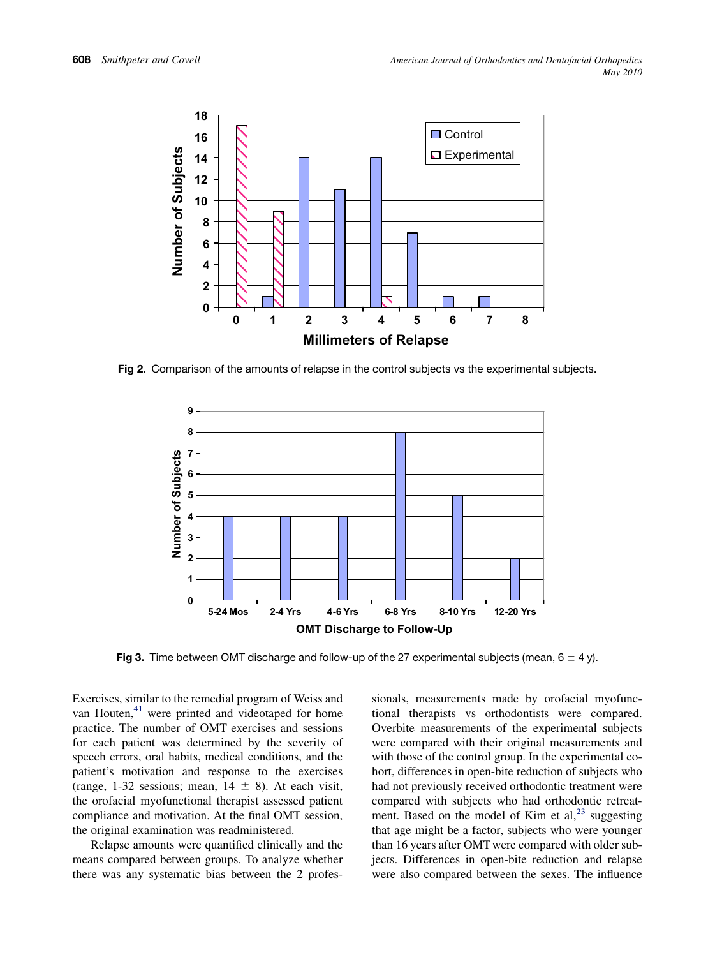<span id="page-3-0"></span>

Fig 2. Comparison of the amounts of relapse in the control subjects vs the experimental subjects.



Fig 3. Time between OMT discharge and follow-up of the 27 experimental subjects (mean,  $6 \pm 4$  y).

Exercises, similar to the remedial program of Weiss and van Houten, $41$  were printed and videotaped for home practice. The number of OMT exercises and sessions for each patient was determined by the severity of speech errors, oral habits, medical conditions, and the patient's motivation and response to the exercises (range, 1-32 sessions; mean,  $14 \pm 8$ ). At each visit, the orofacial myofunctional therapist assessed patient compliance and motivation. At the final OMT session, the original examination was readministered.

Relapse amounts were quantified clinically and the means compared between groups. To analyze whether there was any systematic bias between the 2 professionals, measurements made by orofacial myofunctional therapists vs orthodontists were compared. Overbite measurements of the experimental subjects were compared with their original measurements and with those of the control group. In the experimental cohort, differences in open-bite reduction of subjects who had not previously received orthodontic treatment were compared with subjects who had orthodontic retreatment. Based on the model of Kim et al, $^{23}$  $^{23}$  $^{23}$  suggesting that age might be a factor, subjects who were younger than 16 years after OMT were compared with older subjects. Differences in open-bite reduction and relapse were also compared between the sexes. The influence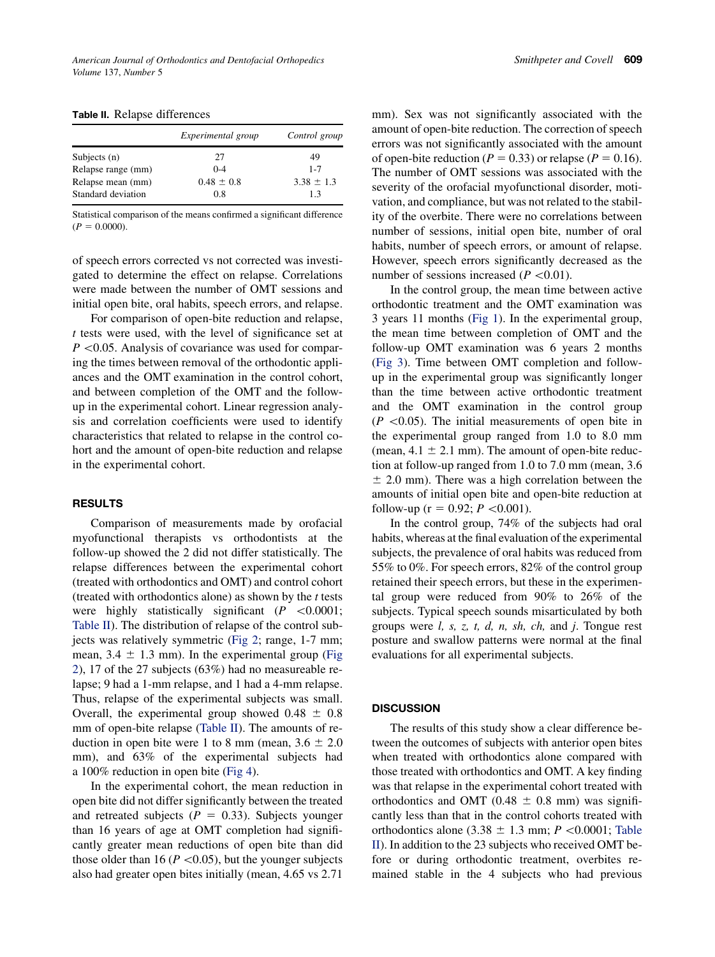|  |  | Table II. Relapse differences |
|--|--|-------------------------------|
|--|--|-------------------------------|

|                    | Experimental group | Control group  |
|--------------------|--------------------|----------------|
| Subjects $(n)$     | 27                 | 49             |
| Relapse range (mm) | $0 - 4$            | $1 - 7$        |
| Relapse mean (mm)  | $0.48 \pm 0.8$     | $3.38 \pm 1.3$ |
| Standard deviation | 0.8                | 1.3            |

Statistical comparison of the means confirmed a significant difference  $(P = 0.0000)$ .

of speech errors corrected vs not corrected was investigated to determine the effect on relapse. Correlations were made between the number of OMT sessions and initial open bite, oral habits, speech errors, and relapse.

For comparison of open-bite reduction and relapse, t tests were used, with the level of significance set at  $P \le 0.05$ . Analysis of covariance was used for comparing the times between removal of the orthodontic appliances and the OMT examination in the control cohort, and between completion of the OMT and the followup in the experimental cohort. Linear regression analysis and correlation coefficients were used to identify characteristics that related to relapse in the control cohort and the amount of open-bite reduction and relapse in the experimental cohort.

## RESULTS

Comparison of measurements made by orofacial myofunctional therapists vs orthodontists at the follow-up showed the 2 did not differ statistically. The relapse differences between the experimental cohort (treated with orthodontics and OMT) and control cohort (treated with orthodontics alone) as shown by the  $t$  tests were highly statistically significant  $(P \lt 0.0001;$ Table II). The distribution of relapse of the control subjects was relatively symmetric ([Fig 2](#page-3-0); range, 1-7 mm; mean,  $3.4 \pm 1.3$  mm). In the experimental group [\(Fig](#page-3-0). [2](#page-3-0)), 17 of the 27 subjects (63%) had no measureable relapse; 9 had a 1-mm relapse, and 1 had a 4-mm relapse. Thus, relapse of the experimental subjects was small. Overall, the experimental group showed  $0.48 \pm 0.8$ mm of open-bite relapse (Table II). The amounts of reduction in open bite were 1 to 8 mm (mean,  $3.6 \pm 2.0$ mm), and 63% of the experimental subjects had a 100% reduction in open bite ([Fig 4](#page-5-0)).

In the experimental cohort, the mean reduction in open bite did not differ significantly between the treated and retreated subjects ( $P = 0.33$ ). Subjects younger than 16 years of age at OMT completion had significantly greater mean reductions of open bite than did those older than 16 ( $P \le 0.05$ ), but the younger subjects also had greater open bites initially (mean, 4.65 vs 2.71 mm). Sex was not significantly associated with the amount of open-bite reduction. The correction of speech errors was not significantly associated with the amount of open-bite reduction ( $P = 0.33$ ) or relapse ( $P = 0.16$ ). The number of OMT sessions was associated with the severity of the orofacial myofunctional disorder, motivation, and compliance, but was not related to the stability of the overbite. There were no correlations between number of sessions, initial open bite, number of oral habits, number of speech errors, or amount of relapse. However, speech errors significantly decreased as the number of sessions increased ( $P \lt 0.01$ ).

In the control group, the mean time between active orthodontic treatment and the OMT examination was 3 years 11 months [\(Fig 1](#page-2-0)). In the experimental group, the mean time between completion of OMT and the follow-up OMT examination was 6 years 2 months ([Fig 3](#page-3-0)). Time between OMT completion and followup in the experimental group was significantly longer than the time between active orthodontic treatment and the OMT examination in the control group  $(P \le 0.05)$ . The initial measurements of open bite in the experimental group ranged from 1.0 to 8.0 mm (mean,  $4.1 \pm 2.1$  mm). The amount of open-bite reduction at follow-up ranged from 1.0 to 7.0 mm (mean, 3.6  $\pm$  2.0 mm). There was a high correlation between the amounts of initial open bite and open-bite reduction at follow-up ( $r = 0.92$ ;  $P \lt 0.001$ ).

In the control group, 74% of the subjects had oral habits, whereas at the final evaluation of the experimental subjects, the prevalence of oral habits was reduced from 55% to 0%. For speech errors, 82% of the control group retained their speech errors, but these in the experimental group were reduced from 90% to 26% of the subjects. Typical speech sounds misarticulated by both groups were  $l$ ,  $s$ ,  $z$ ,  $t$ ,  $d$ ,  $n$ ,  $sh$ ,  $ch$ , and  $j$ . Tongue rest posture and swallow patterns were normal at the final evaluations for all experimental subjects.

# **DISCUSSION**

The results of this study show a clear difference between the outcomes of subjects with anterior open bites when treated with orthodontics alone compared with those treated with orthodontics and OMT. A key finding was that relapse in the experimental cohort treated with orthodontics and OMT (0.48  $\pm$  0.8 mm) was significantly less than that in the control cohorts treated with orthodontics alone (3.38  $\pm$  1.3 mm; P < 0.0001; Table II). In addition to the 23 subjects who received OMT before or during orthodontic treatment, overbites remained stable in the 4 subjects who had previous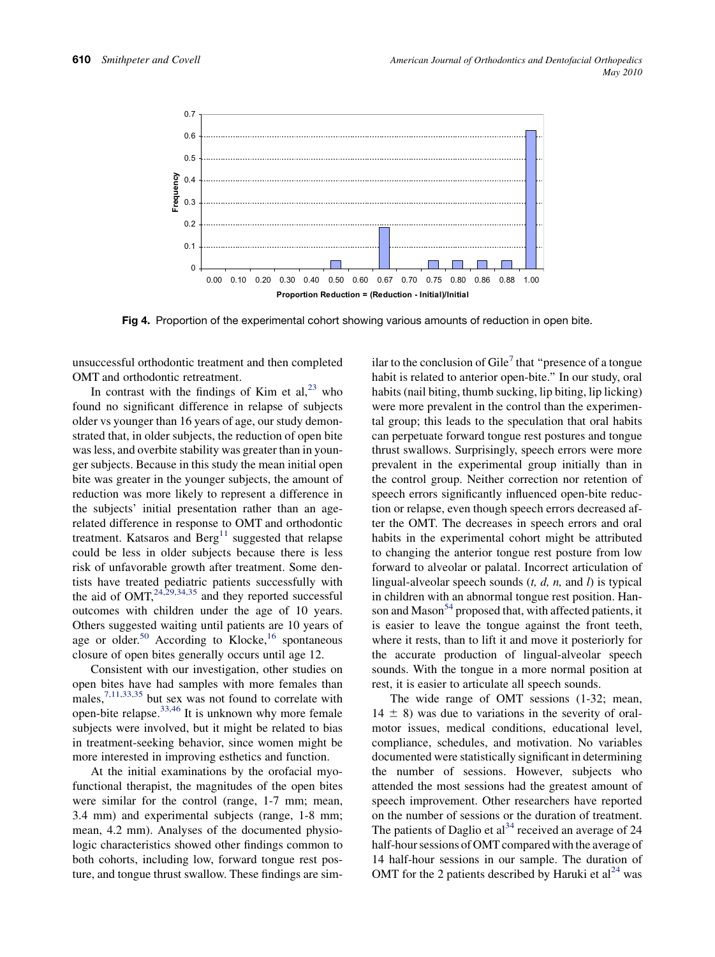<span id="page-5-0"></span>

Fig 4. Proportion of the experimental cohort showing various amounts of reduction in open bite.

unsuccessful orthodontic treatment and then completed OMT and orthodontic retreatment.

In contrast with the findings of Kim et  $al$ ,<sup>[23](#page-9-0)</sup> who found no significant difference in relapse of subjects older vs younger than 16 years of age, our study demonstrated that, in older subjects, the reduction of open bite was less, and overbite stability was greater than in younger subjects. Because in this study the mean initial open bite was greater in the younger subjects, the amount of reduction was more likely to represent a difference in the subjects' initial presentation rather than an agerelated difference in response to OMT and orthodontic treatment. Katsaros and  $\text{Berg}^{11}$  suggested that relapse could be less in older subjects because there is less risk of unfavorable growth after treatment. Some dentists have treated pediatric patients successfully with the aid of OMT,  $^{24,29,34,35}$  $^{24,29,34,35}$  $^{24,29,34,35}$  and they reported successful outcomes with children under the age of 10 years. Others suggested waiting until patients are 10 years of age or older.<sup>[50](#page-9-0)</sup> According to Klocke,<sup>[16](#page-8-0)</sup> spontaneous closure of open bites generally occurs until age 12.

Consistent with our investigation, other studies on open bites have had samples with more females than males,  $7,11,33,35$  but sex was not found to correlate with open-bite relapse[.33,46](#page-9-0) It is unknown why more female subjects were involved, but it might be related to bias in treatment-seeking behavior, since women might be more interested in improving esthetics and function.

At the initial examinations by the orofacial myofunctional therapist, the magnitudes of the open bites were similar for the control (range, 1-7 mm; mean, 3.4 mm) and experimental subjects (range, 1-8 mm; mean, 4.2 mm). Analyses of the documented physiologic characteristics showed other findings common to both cohorts, including low, forward tongue rest posture, and tongue thrust swallow. These findings are similar to the conclusion of Gile<sup>[7](#page-8-0)</sup> that "presence of a tongue habit is related to anterior open-bite.'' In our study, oral habits (nail biting, thumb sucking, lip biting, lip licking) were more prevalent in the control than the experimental group; this leads to the speculation that oral habits can perpetuate forward tongue rest postures and tongue thrust swallows. Surprisingly, speech errors were more prevalent in the experimental group initially than in the control group. Neither correction nor retention of speech errors significantly influenced open-bite reduction or relapse, even though speech errors decreased after the OMT. The decreases in speech errors and oral habits in the experimental cohort might be attributed to changing the anterior tongue rest posture from low forward to alveolar or palatal. Incorrect articulation of lingual-alveolar speech sounds  $(t, d, n,$  and  $l$ ) is typical in children with an abnormal tongue rest position. Han-son and Mason<sup>[54](#page-9-0)</sup> proposed that, with affected patients, it is easier to leave the tongue against the front teeth, where it rests, than to lift it and move it posteriorly for the accurate production of lingual-alveolar speech sounds. With the tongue in a more normal position at rest, it is easier to articulate all speech sounds.

The wide range of OMT sessions (1-32; mean,  $14 \pm 8$ ) was due to variations in the severity of oralmotor issues, medical conditions, educational level, compliance, schedules, and motivation. No variables documented were statistically significant in determining the number of sessions. However, subjects who attended the most sessions had the greatest amount of speech improvement. Other researchers have reported on the number of sessions or the duration of treatment. The patients of Daglio et  $al<sup>34</sup>$  $al<sup>34</sup>$  $al<sup>34</sup>$  received an average of 24 half-hour sessions of OMT compared with the average of 14 half-hour sessions in our sample. The duration of OMT for the 2 patients described by Haruki et  $al<sup>24</sup>$  $al<sup>24</sup>$  $al<sup>24</sup>$  was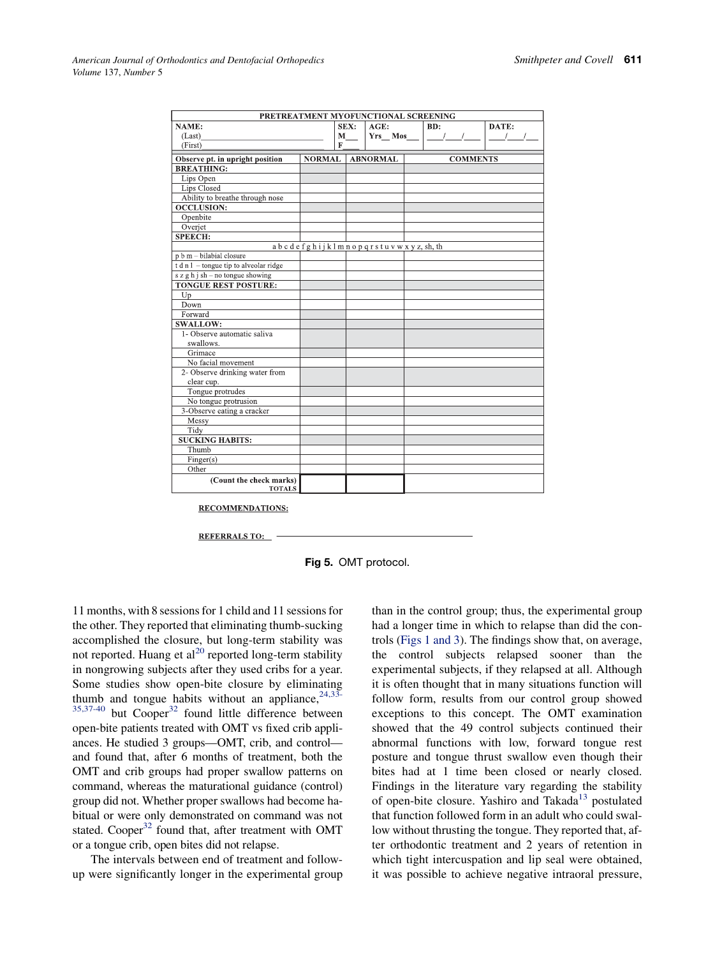<span id="page-6-0"></span>

| PRETREATMENT MYOFUNCTIONAL SCREENING                         |                                    |                 |  |         |                 |                                                                                                                                                                                                                                                                                                                     |               |
|--------------------------------------------------------------|------------------------------------|-----------------|--|---------|-----------------|---------------------------------------------------------------------------------------------------------------------------------------------------------------------------------------------------------------------------------------------------------------------------------------------------------------------|---------------|
| <b>NAME:</b>                                                 |                                    | SEX:            |  | AGE:    |                 | BD:                                                                                                                                                                                                                                                                                                                 | DATE:         |
| (Last)                                                       |                                    | $\mathbf{M}$    |  | Yrs Mos |                 | $\frac{1}{2}$ $\frac{1}{2}$ $\frac{1}{2}$ $\frac{1}{2}$ $\frac{1}{2}$ $\frac{1}{2}$ $\frac{1}{2}$ $\frac{1}{2}$ $\frac{1}{2}$ $\frac{1}{2}$ $\frac{1}{2}$ $\frac{1}{2}$ $\frac{1}{2}$ $\frac{1}{2}$ $\frac{1}{2}$ $\frac{1}{2}$ $\frac{1}{2}$ $\frac{1}{2}$ $\frac{1}{2}$ $\frac{1}{2}$ $\frac{1}{2}$ $\frac{1}{2}$ | $\frac{1}{2}$ |
| (First)                                                      |                                    | F               |  |         |                 |                                                                                                                                                                                                                                                                                                                     |               |
| Observe pt. in upright position                              | <b>NORMAL</b>                      | <b>ABNORMAL</b> |  |         | <b>COMMENTS</b> |                                                                                                                                                                                                                                                                                                                     |               |
| <b>BREATHING:</b>                                            |                                    |                 |  |         |                 |                                                                                                                                                                                                                                                                                                                     |               |
| Lips Open                                                    |                                    |                 |  |         |                 |                                                                                                                                                                                                                                                                                                                     |               |
| Lips Closed                                                  |                                    |                 |  |         |                 |                                                                                                                                                                                                                                                                                                                     |               |
| Ability to breathe through nose                              |                                    |                 |  |         |                 |                                                                                                                                                                                                                                                                                                                     |               |
| <b>OCCLUSION:</b>                                            |                                    |                 |  |         |                 |                                                                                                                                                                                                                                                                                                                     |               |
| Openbite                                                     |                                    |                 |  |         |                 |                                                                                                                                                                                                                                                                                                                     |               |
| Overjet                                                      |                                    |                 |  |         |                 |                                                                                                                                                                                                                                                                                                                     |               |
| <b>SPEECH:</b>                                               |                                    |                 |  |         |                 |                                                                                                                                                                                                                                                                                                                     |               |
|                                                              | abcdefghijklmnopqrstuvwxyz, sh, th |                 |  |         |                 |                                                                                                                                                                                                                                                                                                                     |               |
| p b m - bilabial closure                                     |                                    |                 |  |         |                 |                                                                                                                                                                                                                                                                                                                     |               |
| $t d n l$ – tongue tip to alveolar ridge                     |                                    |                 |  |         |                 |                                                                                                                                                                                                                                                                                                                     |               |
| $s \, z \, g \, h \, j \, sh - no \, to \, g \, h \, o \, s$ |                                    |                 |  |         |                 |                                                                                                                                                                                                                                                                                                                     |               |
| <b>TONGUE REST POSTURE:</b>                                  |                                    |                 |  |         |                 |                                                                                                                                                                                                                                                                                                                     |               |
| Up                                                           |                                    |                 |  |         |                 |                                                                                                                                                                                                                                                                                                                     |               |
| Down                                                         |                                    |                 |  |         |                 |                                                                                                                                                                                                                                                                                                                     |               |
| Forward                                                      |                                    |                 |  |         |                 |                                                                                                                                                                                                                                                                                                                     |               |
| <b>SWALLOW:</b>                                              |                                    |                 |  |         |                 |                                                                                                                                                                                                                                                                                                                     |               |
| 1- Observe automatic saliva                                  |                                    |                 |  |         |                 |                                                                                                                                                                                                                                                                                                                     |               |
| swallows.                                                    |                                    |                 |  |         |                 |                                                                                                                                                                                                                                                                                                                     |               |
| Grimace                                                      |                                    |                 |  |         |                 |                                                                                                                                                                                                                                                                                                                     |               |
| No facial movement                                           |                                    |                 |  |         |                 |                                                                                                                                                                                                                                                                                                                     |               |
| 2- Observe drinking water from                               |                                    |                 |  |         |                 |                                                                                                                                                                                                                                                                                                                     |               |
| clear cup.                                                   |                                    |                 |  |         |                 |                                                                                                                                                                                                                                                                                                                     |               |
| Tongue protrudes                                             |                                    |                 |  |         |                 |                                                                                                                                                                                                                                                                                                                     |               |
| No tongue protrusion                                         |                                    |                 |  |         |                 |                                                                                                                                                                                                                                                                                                                     |               |
| 3-Observe eating a cracker                                   |                                    |                 |  |         |                 |                                                                                                                                                                                                                                                                                                                     |               |
| Messy                                                        |                                    |                 |  |         |                 |                                                                                                                                                                                                                                                                                                                     |               |
| Tidy                                                         |                                    |                 |  |         |                 |                                                                                                                                                                                                                                                                                                                     |               |
| <b>SUCKING HABITS:</b>                                       |                                    |                 |  |         |                 |                                                                                                                                                                                                                                                                                                                     |               |
| Thumb                                                        |                                    |                 |  |         |                 |                                                                                                                                                                                                                                                                                                                     |               |
| Finger(s)                                                    |                                    |                 |  |         |                 |                                                                                                                                                                                                                                                                                                                     |               |
| Other                                                        |                                    |                 |  |         |                 |                                                                                                                                                                                                                                                                                                                     |               |
| (Count the check marks)                                      |                                    |                 |  |         |                 |                                                                                                                                                                                                                                                                                                                     |               |
| <b>TOTALS</b>                                                |                                    |                 |  |         |                 |                                                                                                                                                                                                                                                                                                                     |               |

**RECOMMENDATIONS:** 

**REFERRALS TO:** 



11 months, with 8 sessions for 1 child and 11 sessions for the other. They reported that eliminating thumb-sucking accomplished the closure, but long-term stability was not reported. Huang et  $al^{20}$  $al^{20}$  $al^{20}$  reported long-term stability in nongrowing subjects after they used cribs for a year. Some studies show open-bite closure by eliminating thumb and tongue habits without an appliance,  $24,33$  $35,37-40$  but Cooper<sup>[32](#page-9-0)</sup> found little difference between open-bite patients treated with OMT vs fixed crib appliances. He studied 3 groups—OMT, crib, and control and found that, after 6 months of treatment, both the OMT and crib groups had proper swallow patterns on command, whereas the maturational guidance (control) group did not. Whether proper swallows had become habitual or were only demonstrated on command was not stated. Cooper<sup>32</sup> found that, after treatment with OMT or a tongue crib, open bites did not relapse.

The intervals between end of treatment and followup were significantly longer in the experimental group than in the control group; thus, the experimental group had a longer time in which to relapse than did the controls ([Figs 1 and 3](#page-2-0)). The findings show that, on average, the control subjects relapsed sooner than the experimental subjects, if they relapsed at all. Although it is often thought that in many situations function will follow form, results from our control group showed exceptions to this concept. The OMT examination showed that the 49 control subjects continued their abnormal functions with low, forward tongue rest posture and tongue thrust swallow even though their bites had at 1 time been closed or nearly closed. Findings in the literature vary regarding the stability of open-bite closure. Yashiro and Takada<sup>[13](#page-8-0)</sup> postulated that function followed form in an adult who could swallow without thrusting the tongue. They reported that, after orthodontic treatment and 2 years of retention in which tight intercuspation and lip seal were obtained, it was possible to achieve negative intraoral pressure,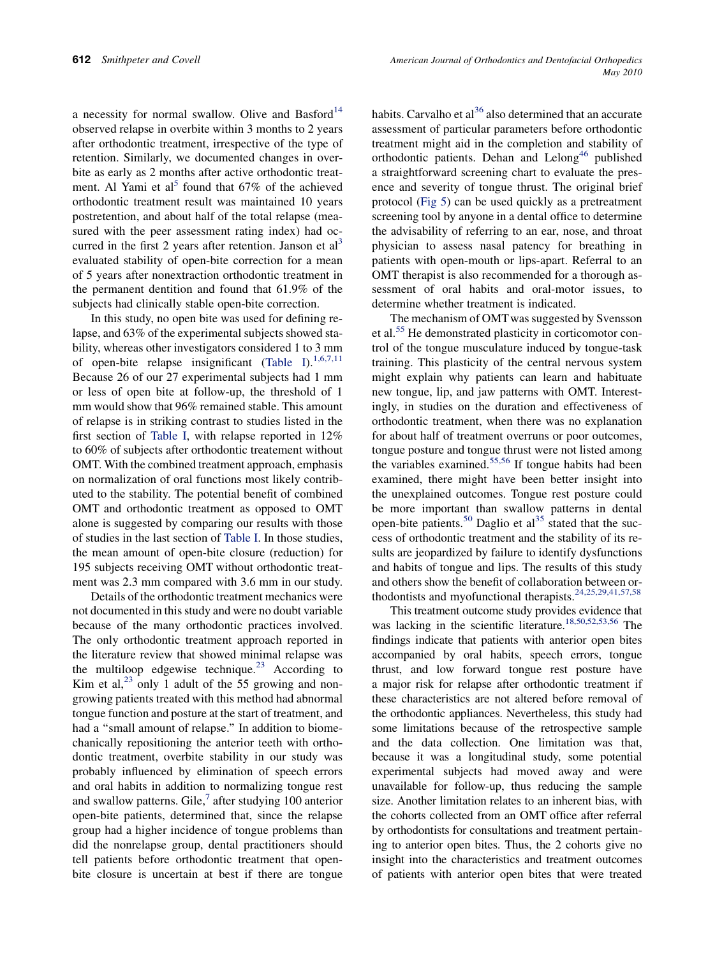a necessity for normal swallow. Olive and Basford<sup>[14](#page-8-0)</sup> observed relapse in overbite within 3 months to 2 years after orthodontic treatment, irrespective of the type of retention. Similarly, we documented changes in overbite as early as 2 months after active orthodontic treatment. Al Yami et al<sup>5</sup> found that  $67\%$  of the achieved orthodontic treatment result was maintained 10 years postretention, and about half of the total relapse (measured with the peer assessment rating index) had occurred in the first 2 years after retention. Janson et  $al<sup>3</sup>$  $al<sup>3</sup>$  $al<sup>3</sup>$ evaluated stability of open-bite correction for a mean of 5 years after nonextraction orthodontic treatment in the permanent dentition and found that 61.9% of the subjects had clinically stable open-bite correction.

In this study, no open bite was used for defining relapse, and 63% of the experimental subjects showed stability, whereas other investigators considered 1 to 3 mm of open-bite relapse insignificant [\(Table I](#page-1-0)). $1,6,7,11$ Because 26 of our 27 experimental subjects had 1 mm or less of open bite at follow-up, the threshold of 1 mm would show that 96% remained stable. This amount of relapse is in striking contrast to studies listed in the first section of [Table I,](#page-1-0) with relapse reported in 12% to 60% of subjects after orthodontic treatement without OMT. With the combined treatment approach, emphasis on normalization of oral functions most likely contributed to the stability. The potential benefit of combined OMT and orthodontic treatment as opposed to OMT alone is suggested by comparing our results with those of studies in the last section of [Table I](#page-1-0). In those studies, the mean amount of open-bite closure (reduction) for 195 subjects receiving OMT without orthodontic treatment was 2.3 mm compared with 3.6 mm in our study.

Details of the orthodontic treatment mechanics were not documented in this study and were no doubt variable because of the many orthodontic practices involved. The only orthodontic treatment approach reported in the literature review that showed minimal relapse was the multiloop edgewise technique.<sup>[23](#page-9-0)</sup> According to Kim et al,  $^{23}$  $^{23}$  $^{23}$  only 1 adult of the 55 growing and nongrowing patients treated with this method had abnormal tongue function and posture at the start of treatment, and had a "small amount of relapse." In addition to biomechanically repositioning the anterior teeth with orthodontic treatment, overbite stability in our study was probably influenced by elimination of speech errors and oral habits in addition to normalizing tongue rest and swallow patterns. Gile, $\frac{7}{1}$  after studying 100 anterior open-bite patients, determined that, since the relapse group had a higher incidence of tongue problems than did the nonrelapse group, dental practitioners should tell patients before orthodontic treatment that openbite closure is uncertain at best if there are tongue habits. Carvalho et al $36$  also determined that an accurate assessment of particular parameters before orthodontic treatment might aid in the completion and stability of orthodontic patients. Dehan and Lelong<sup>[46](#page-9-0)</sup> published a straightforward screening chart to evaluate the presence and severity of tongue thrust. The original brief protocol [\(Fig 5\)](#page-6-0) can be used quickly as a pretreatment screening tool by anyone in a dental office to determine the advisability of referring to an ear, nose, and throat physician to assess nasal patency for breathing in patients with open-mouth or lips-apart. Referral to an OMT therapist is also recommended for a thorough assessment of oral habits and oral-motor issues, to determine whether treatment is indicated.

The mechanism of OMT was suggested by Svensson et al.<sup>[55](#page-9-0)</sup> He demonstrated plasticity in corticomotor control of the tongue musculature induced by tongue-task training. This plasticity of the central nervous system might explain why patients can learn and habituate new tongue, lip, and jaw patterns with OMT. Interestingly, in studies on the duration and effectiveness of orthodontic treatment, when there was no explanation for about half of treatment overruns or poor outcomes, tongue posture and tongue thrust were not listed among the variables examined.<sup>[55,56](#page-9-0)</sup> If tongue habits had been examined, there might have been better insight into the unexplained outcomes. Tongue rest posture could be more important than swallow patterns in dental open-bite patients.<sup>[50](#page-9-0)</sup> Daglio et al<sup>35</sup> stated that the success of orthodontic treatment and the stability of its results are jeopardized by failure to identify dysfunctions and habits of tongue and lips. The results of this study and others show the benefit of collaboration between or-thodontists and myofunctional therapists.<sup>[24,25,29,41,57,58](#page-9-0)</sup>

This treatment outcome study provides evidence that was lacking in the scientific literature.<sup>18,50,52,53,56</sup> The findings indicate that patients with anterior open bites accompanied by oral habits, speech errors, tongue thrust, and low forward tongue rest posture have a major risk for relapse after orthodontic treatment if these characteristics are not altered before removal of the orthodontic appliances. Nevertheless, this study had some limitations because of the retrospective sample and the data collection. One limitation was that, because it was a longitudinal study, some potential experimental subjects had moved away and were unavailable for follow-up, thus reducing the sample size. Another limitation relates to an inherent bias, with the cohorts collected from an OMT office after referral by orthodontists for consultations and treatment pertaining to anterior open bites. Thus, the 2 cohorts give no insight into the characteristics and treatment outcomes of patients with anterior open bites that were treated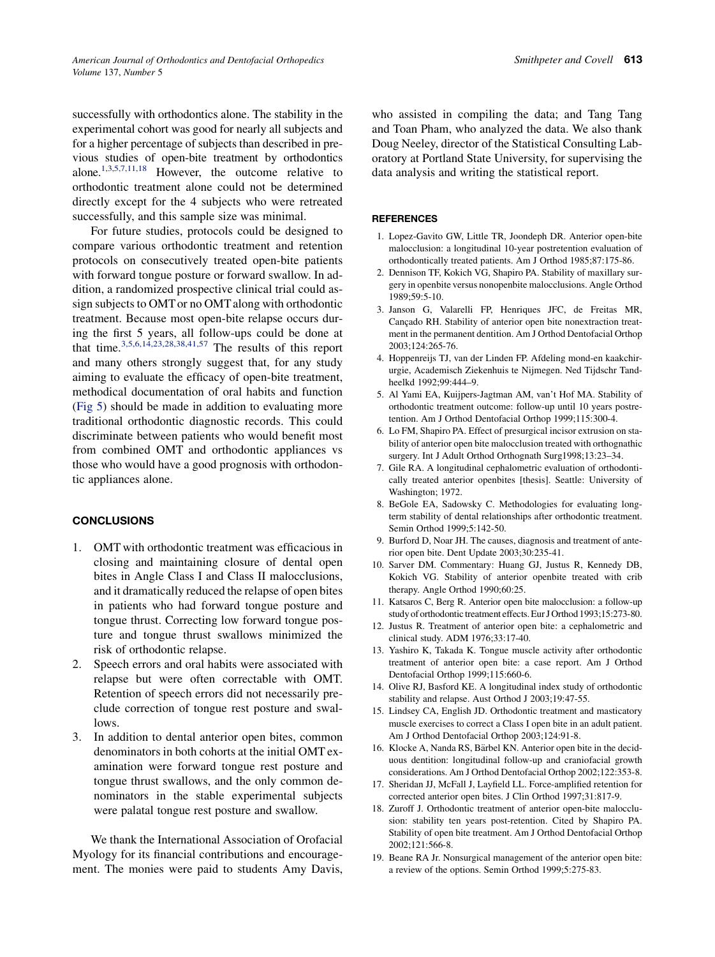<span id="page-8-0"></span>successfully with orthodontics alone. The stability in the experimental cohort was good for nearly all subjects and for a higher percentage of subjects than described in previous studies of open-bite treatment by orthodontics alone.1,3,5,7,11,18 However, the outcome relative to orthodontic treatment alone could not be determined directly except for the 4 subjects who were retreated successfully, and this sample size was minimal.

For future studies, protocols could be designed to compare various orthodontic treatment and retention protocols on consecutively treated open-bite patients with forward tongue posture or forward swallow. In addition, a randomized prospective clinical trial could assign subjects to OMT or no OMT along with orthodontic treatment. Because most open-bite relapse occurs during the first 5 years, all follow-ups could be done at that time.<sup>3,5,6,14,23,28,38,41,57</sup> The results of this report and many others strongly suggest that, for any study aiming to evaluate the efficacy of open-bite treatment, methodical documentation of oral habits and function ([Fig 5](#page-6-0)) should be made in addition to evaluating more traditional orthodontic diagnostic records. This could discriminate between patients who would benefit most from combined OMT and orthodontic appliances vs those who would have a good prognosis with orthodontic appliances alone.

# **CONCLUSIONS**

- 1. OMT with orthodontic treatment was efficacious in closing and maintaining closure of dental open bites in Angle Class I and Class II malocclusions, and it dramatically reduced the relapse of open bites in patients who had forward tongue posture and tongue thrust. Correcting low forward tongue posture and tongue thrust swallows minimized the risk of orthodontic relapse.
- 2. Speech errors and oral habits were associated with relapse but were often correctable with OMT. Retention of speech errors did not necessarily preclude correction of tongue rest posture and swallows.
- 3. In addition to dental anterior open bites, common denominators in both cohorts at the initial OMT examination were forward tongue rest posture and tongue thrust swallows, and the only common denominators in the stable experimental subjects were palatal tongue rest posture and swallow.

We thank the International Association of Orofacial Myology for its financial contributions and encouragement. The monies were paid to students Amy Davis,

who assisted in compiling the data; and Tang Tang and Toan Pham, who analyzed the data. We also thank Doug Neeley, director of the Statistical Consulting Laboratory at Portland State University, for supervising the data analysis and writing the statistical report.

#### **REFERENCES**

- 1. Lopez-Gavito GW, Little TR, Joondeph DR. Anterior open-bite malocclusion: a longitudinal 10-year postretention evaluation of orthodontically treated patients. Am J Orthod 1985;87:175-86.
- 2. Dennison TF, Kokich VG, Shapiro PA. Stability of maxillary surgery in openbite versus nonopenbite malocclusions. Angle Orthod 1989;59:5-10.
- 3. Janson G, Valarelli FP, Henriques JFC, de Freitas MR, Cançado RH. Stability of anterior open bite nonextraction treatment in the permanent dentition. Am J Orthod Dentofacial Orthop 2003;124:265-76.
- 4. Hoppenreijs TJ, van der Linden FP. Afdeling mond-en kaakchirurgie, Academisch Ziekenhuis te Nijmegen. Ned Tijdschr Tandheelkd 1992;99:444–9.
- 5. Al Yami EA, Kuijpers-Jagtman AM, van't Hof MA. Stability of orthodontic treatment outcome: follow-up until 10 years postretention. Am J Orthod Dentofacial Orthop 1999;115:300-4.
- 6. Lo FM, Shapiro PA. Effect of presurgical incisor extrusion on stability of anterior open bite malocclusion treated with orthognathic surgery. Int J Adult Orthod Orthognath Surg1998;13:23–34.
- 7. Gile RA. A longitudinal cephalometric evaluation of orthodontically treated anterior openbites [thesis]. Seattle: University of Washington; 1972.
- 8. BeGole EA, Sadowsky C. Methodologies for evaluating longterm stability of dental relationships after orthodontic treatment. Semin Orthod 1999;5:142-50.
- 9. Burford D, Noar JH. The causes, diagnosis and treatment of anterior open bite. Dent Update 2003;30:235-41.
- 10. Sarver DM. Commentary: Huang GJ, Justus R, Kennedy DB, Kokich VG. Stability of anterior openbite treated with crib therapy. Angle Orthod 1990;60:25.
- 11. Katsaros C, Berg R. Anterior open bite malocclusion: a follow-up study of orthodontic treatment effects. Eur J Orthod 1993;15:273-80.
- 12. Justus R. Treatment of anterior open bite: a cephalometric and clinical study. ADM 1976;33:17-40.
- 13. Yashiro K, Takada K. Tongue muscle activity after orthodontic treatment of anterior open bite: a case report. Am J Orthod Dentofacial Orthop 1999;115:660-6.
- 14. Olive RJ, Basford KE. A longitudinal index study of orthodontic stability and relapse. Aust Orthod J 2003;19:47-55.
- 15. Lindsey CA, English JD. Orthodontic treatment and masticatory muscle exercises to correct a Class I open bite in an adult patient. Am J Orthod Dentofacial Orthop 2003;124:91-8.
- 16. Klocke A, Nanda RS, Bärbel KN. Anterior open bite in the deciduous dentition: longitudinal follow-up and craniofacial growth considerations. Am J Orthod Dentofacial Orthop 2002;122:353-8.
- 17. Sheridan JJ, McFall J, Layfield LL. Force-amplified retention for corrected anterior open bites. J Clin Orthod 1997;31:817-9.
- 18. Zuroff J. Orthodontic treatment of anterior open-bite malocclusion: stability ten years post-retention. Cited by Shapiro PA. Stability of open bite treatment. Am J Orthod Dentofacial Orthop 2002;121:566-8.
- 19. Beane RA Jr. Nonsurgical management of the anterior open bite: a review of the options. Semin Orthod 1999;5:275-83.